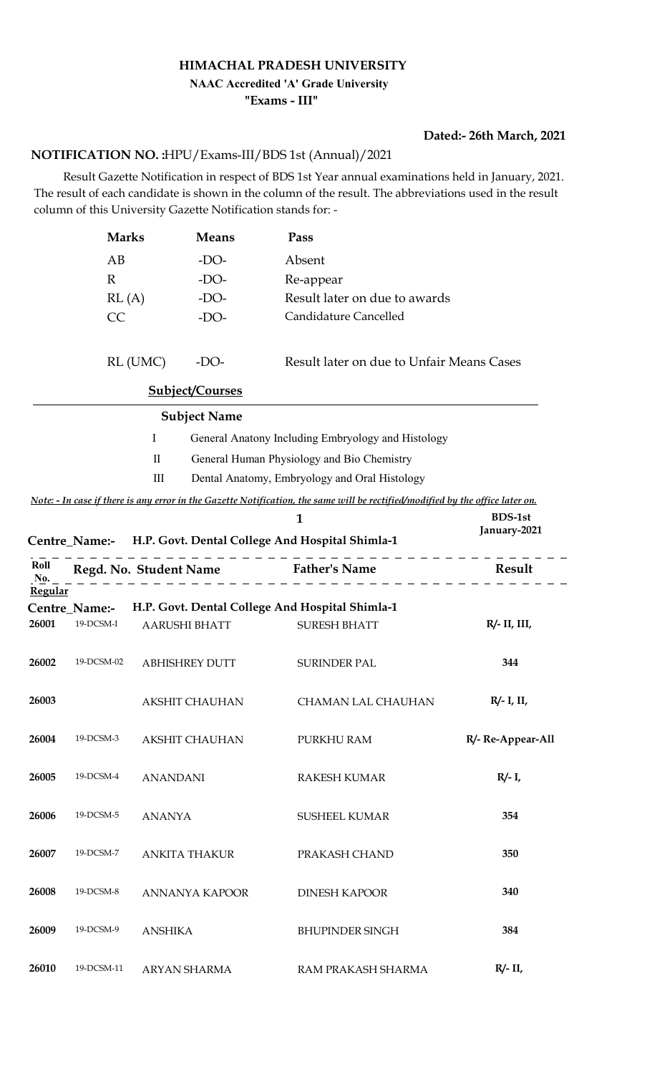#### **HIMACHAL PRADESH UNIVERSITY**

## **NAAC Accredited 'A' Grade University**

**"Exams - III"**

### **Dated:- 26th March, 2021**

### HPU/Exams-III/BDS 1st (Annual)/2021 **NOTIFICATION NO. :**

 Result Gazette Notification in respect of BDS 1st Year annual examinations held in January, 2021. The result of each candidate is shown in the column of the result. The abbreviations used in the result column of this University Gazette Notification stands for: -

|             | <b>Marks</b>  |                    | <b>Means</b>           | Pass                                                                                                                           |                    |
|-------------|---------------|--------------------|------------------------|--------------------------------------------------------------------------------------------------------------------------------|--------------------|
|             | AB            |                    | $-DO-$                 | Absent                                                                                                                         |                    |
|             | $\mathbb{R}$  |                    | $-DO-$                 | Re-appear                                                                                                                      |                    |
|             | RL(A)         |                    | $-DO-$                 | Result later on due to awards                                                                                                  |                    |
|             | CC            |                    | $-DO-$                 | Candidature Cancelled                                                                                                          |                    |
|             |               |                    |                        |                                                                                                                                |                    |
|             |               | RL (UMC)           | $-DO-$                 | Result later on due to Unfair Means Cases                                                                                      |                    |
|             |               |                    | <b>Subject/Courses</b> |                                                                                                                                |                    |
|             |               |                    | <b>Subject Name</b>    |                                                                                                                                |                    |
|             |               | Ι                  |                        | General Anatony Including Embryology and Histology                                                                             |                    |
|             |               | $\mathbf{I}$       |                        | General Human Physiology and Bio Chemistry                                                                                     |                    |
|             |               | $\mathop{\rm III}$ |                        | Dental Anatomy, Embryology and Oral Histology                                                                                  |                    |
|             |               |                    |                        | Note: - In case if there is any error in the Gazette Notification, the same will be rectified/modified by the office later on. |                    |
|             |               |                    |                        | 1                                                                                                                              | <b>BDS-1st</b>     |
|             |               |                    |                        | Centre Name:- H.P. Govt. Dental College And Hospital Shimla-1                                                                  | January-2021       |
| Roll<br>No. |               |                    |                        | Regd. No. Student Name Father's Name                                                                                           | Result             |
| Regular     |               |                    |                        |                                                                                                                                |                    |
|             | Centre_Name:- |                    |                        | H.P. Govt. Dental College And Hospital Shimla-1                                                                                |                    |
| 26001       | 19-DCSM-I     |                    | <b>AARUSHI BHATT</b>   | <b>SURESH BHATT</b>                                                                                                            | $R/- II$ , $III$ , |
| 26002       | 19-DCSM-02    |                    | <b>ABHISHREY DUTT</b>  | <b>SURINDER PAL</b>                                                                                                            | 344                |
| 26003       |               |                    | <b>AKSHIT CHAUHAN</b>  | CHAMAN LAL CHAUHAN                                                                                                             | $R/- I$ , II,      |
| 26004       | 19-DCSM-3     |                    | <b>AKSHIT CHAUHAN</b>  | PURKHU RAM                                                                                                                     | R/- Re-Appear-All  |
| 26005       | 19-DCSM-4     | <b>ANANDANI</b>    |                        | <b>RAKESH KUMAR</b>                                                                                                            | $R/- I$ ,          |
| 26006       | 19-DCSM-5     | <b>ANANYA</b>      |                        | <b>SUSHEEL KUMAR</b>                                                                                                           | 354                |
| 26007       | 19-DCSM-7     |                    | <b>ANKITA THAKUR</b>   | PRAKASH CHAND                                                                                                                  | 350                |
| 26008       | 19-DCSM-8     |                    | ANNANYA KAPOOR         | <b>DINESH KAPOOR</b>                                                                                                           | 340                |
| 26009       | 19-DCSM-9     | <b>ANSHIKA</b>     |                        | <b>BHUPINDER SINGH</b>                                                                                                         | 384                |
| 26010       | 19-DCSM-11    |                    | ARYAN SHARMA           | RAM PRAKASH SHARMA                                                                                                             | $R/- II$ ,         |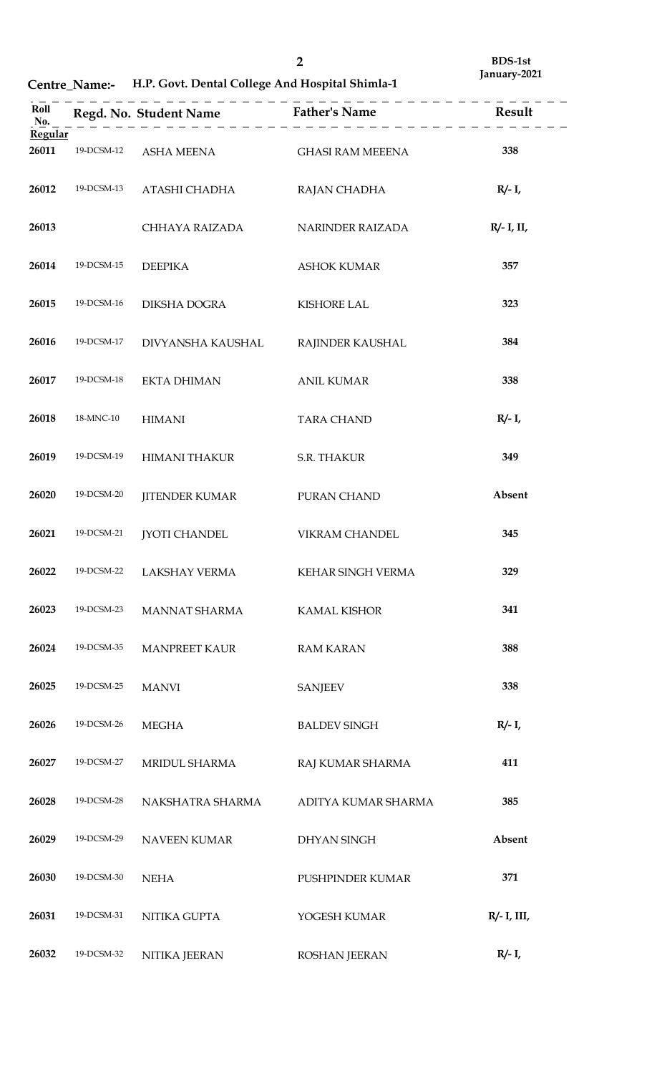**Centre\_Name:- H.P. Govt. Dental College And Hospital Shimla-1**

| Roll<br>No.<br>Regular |            | $\frac{1}{2}$         | -------                 |                |
|------------------------|------------|-----------------------|-------------------------|----------------|
| 26011                  | 19-DCSM-12 | ASHA MEENA            | <b>GHASI RAM MEEENA</b> | 338            |
| 26012                  | 19-DCSM-13 | ATASHI CHADHA         | RAJAN CHADHA            | $R/- I$ ,      |
| 26013                  |            | CHHAYA RAIZADA        | NARINDER RAIZADA        | $R/- I$ , II,  |
| 26014                  | 19-DCSM-15 | <b>DEEPIKA</b>        | <b>ASHOK KUMAR</b>      | 357            |
| 26015                  | 19-DCSM-16 | DIKSHA DOGRA          | <b>KISHORE LAL</b>      | 323            |
| 26016                  | 19-DCSM-17 | DIVYANSHA KAUSHAL     | RAJINDER KAUSHAL        | 384            |
| 26017                  | 19-DCSM-18 | <b>EKTA DHIMAN</b>    | <b>ANIL KUMAR</b>       | 338            |
| 26018                  | 18-MNC-10  | <b>HIMANI</b>         | <b>TARA CHAND</b>       | $R/- I$ ,      |
| 26019                  | 19-DCSM-19 | <b>HIMANI THAKUR</b>  | S.R. THAKUR             | 349            |
| 26020                  | 19-DCSM-20 | <b>JITENDER KUMAR</b> | PURAN CHAND             | Absent         |
| 26021                  | 19-DCSM-21 | <b>JYOTI CHANDEL</b>  | <b>VIKRAM CHANDEL</b>   | 345            |
| 26022                  | 19-DCSM-22 | LAKSHAY VERMA         | KEHAR SINGH VERMA       | 329            |
| 26023                  | 19-DCSM-23 | <b>MANNAT SHARMA</b>  | <b>KAMAL KISHOR</b>     | 341            |
| 26024                  | 19-DCSM-35 | <b>MANPREET KAUR</b>  | <b>RAM KARAN</b>        | 388            |
| 26025                  | 19-DCSM-25 | <b>MANVI</b>          | <b>SANJEEV</b>          | 338            |
| 26026                  | 19-DCSM-26 | <b>MEGHA</b>          | <b>BALDEV SINGH</b>     | $R/- I$ ,      |
| 26027                  | 19-DCSM-27 | MRIDUL SHARMA         | RAJ KUMAR SHARMA        | 411            |
| 26028                  | 19-DCSM-28 | NAKSHATRA SHARMA      | ADITYA KUMAR SHARMA     | 385            |
| 26029                  | 19-DCSM-29 | <b>NAVEEN KUMAR</b>   | <b>DHYAN SINGH</b>      | Absent         |
| 26030                  | 19-DCSM-30 | <b>NEHA</b>           | PUSHPINDER KUMAR        | 371            |
| 26031                  | 19-DCSM-31 | NITIKA GUPTA          | YOGESH KUMAR            | $R/- I$ , III, |
| 26032                  | 19-DCSM-32 | NITIKA JEERAN         | <b>ROSHAN JEERAN</b>    | $R/- I$ ,      |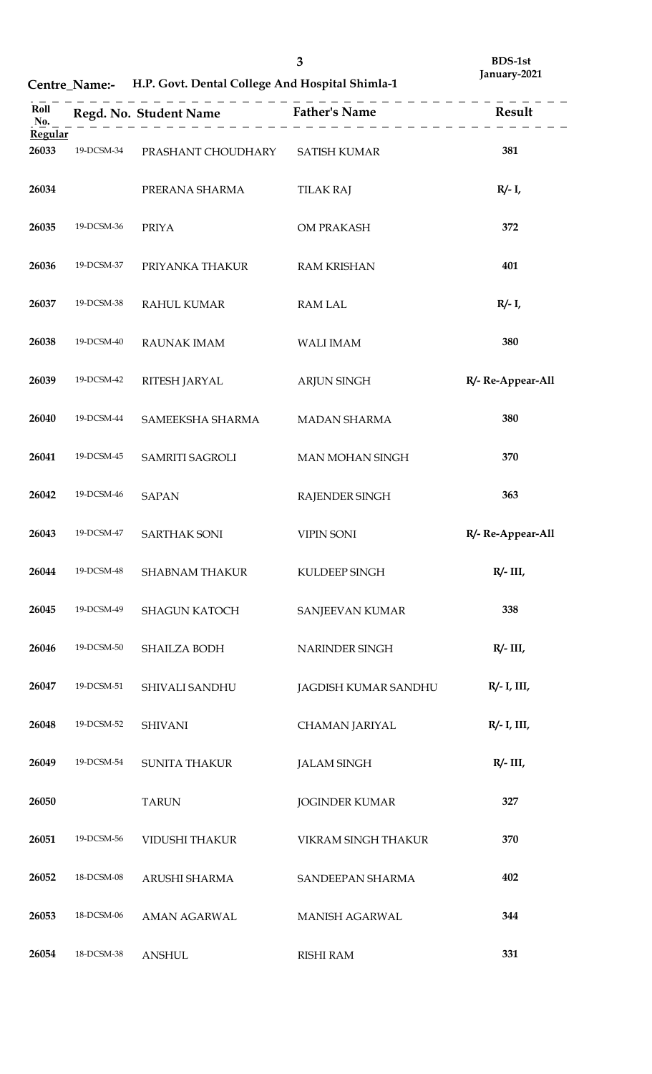| ×<br>2           |  |
|------------------|--|
| ć<br>٠<br>×<br>v |  |

**Centre\_Name:- H.P. Govt. Dental College And Hospital Shimla-1**

| Roll<br>No.    |            |                        | Regd. No. Student Name Father's Name Result |                   |
|----------------|------------|------------------------|---------------------------------------------|-------------------|
| <b>Regular</b> |            |                        |                                             |                   |
| 26033          | 19-DCSM-34 | PRASHANT CHOUDHARY     | <b>SATISH KUMAR</b>                         | 381               |
| 26034          |            | PRERANA SHARMA         | <b>TILAK RAJ</b>                            | $R/- I$ ,         |
|                |            |                        |                                             |                   |
| 26035          | 19-DCSM-36 | <b>PRIYA</b>           | OM PRAKASH                                  | 372               |
| 26036          | 19-DCSM-37 | PRIYANKA THAKUR        | <b>RAM KRISHAN</b>                          | 401               |
|                |            |                        |                                             |                   |
| 26037          | 19-DCSM-38 | <b>RAHUL KUMAR</b>     | <b>RAM LAL</b>                              | $R/- I$ ,         |
| 26038          | 19-DCSM-40 | <b>RAUNAK IMAM</b>     | <b>WALI IMAM</b>                            | 380               |
|                |            |                        |                                             |                   |
| 26039          | 19-DCSM-42 | RITESH JARYAL          | <b>ARJUN SINGH</b>                          | R/- Re-Appear-All |
| 26040          | 19-DCSM-44 |                        |                                             | 380               |
|                |            | SAMEEKSHA SHARMA       | <b>MADAN SHARMA</b>                         |                   |
| 26041          | 19-DCSM-45 | <b>SAMRITI SAGROLI</b> | <b>MAN MOHAN SINGH</b>                      | 370               |
|                |            |                        |                                             |                   |
| 26042          | 19-DCSM-46 | <b>SAPAN</b>           | RAJENDER SINGH                              | 363               |
| 26043          | 19-DCSM-47 | SARTHAK SONI           | <b>VIPIN SONI</b>                           | R/- Re-Appear-All |
|                |            |                        |                                             |                   |
| 26044          | 19-DCSM-48 | <b>SHABNAM THAKUR</b>  | KULDEEP SINGH                               | $R/- III$         |
| 26045          | 19-DCSM-49 | <b>SHAGUN KATOCH</b>   | SANJEEVAN KUMAR                             | 338               |
|                |            |                        |                                             |                   |
| 26046          | 19-DCSM-50 | SHAILZA BODH           | NARINDER SINGH                              | $R/- III$         |
| 26047          | 19-DCSM-51 | SHIVALI SANDHU         | JAGDISH KUMAR SANDHU                        | $R/- I$ , III,    |
|                |            |                        |                                             |                   |
| 26048          | 19-DCSM-52 | <b>SHIVANI</b>         | CHAMAN JARIYAL                              | $R/- I$ , III,    |
| 26049          | 19-DCSM-54 | <b>SUNITA THAKUR</b>   | <b>JALAM SINGH</b>                          | $R/- III$ ,       |
|                |            |                        |                                             |                   |
| 26050          |            | <b>TARUN</b>           | <b>JOGINDER KUMAR</b>                       | 327               |
|                |            |                        |                                             |                   |
| 26051          | 19-DCSM-56 | VIDUSHI THAKUR         | VIKRAM SINGH THAKUR                         | 370               |
| 26052          | 18-DCSM-08 | ARUSHI SHARMA          | SANDEEPAN SHARMA                            | 402               |
|                |            |                        |                                             |                   |
| 26053          | 18-DCSM-06 | AMAN AGARWAL           | MANISH AGARWAL                              | 344               |
| 26054          | 18-DCSM-38 | <b>ANSHUL</b>          | <b>RISHI RAM</b>                            | 331               |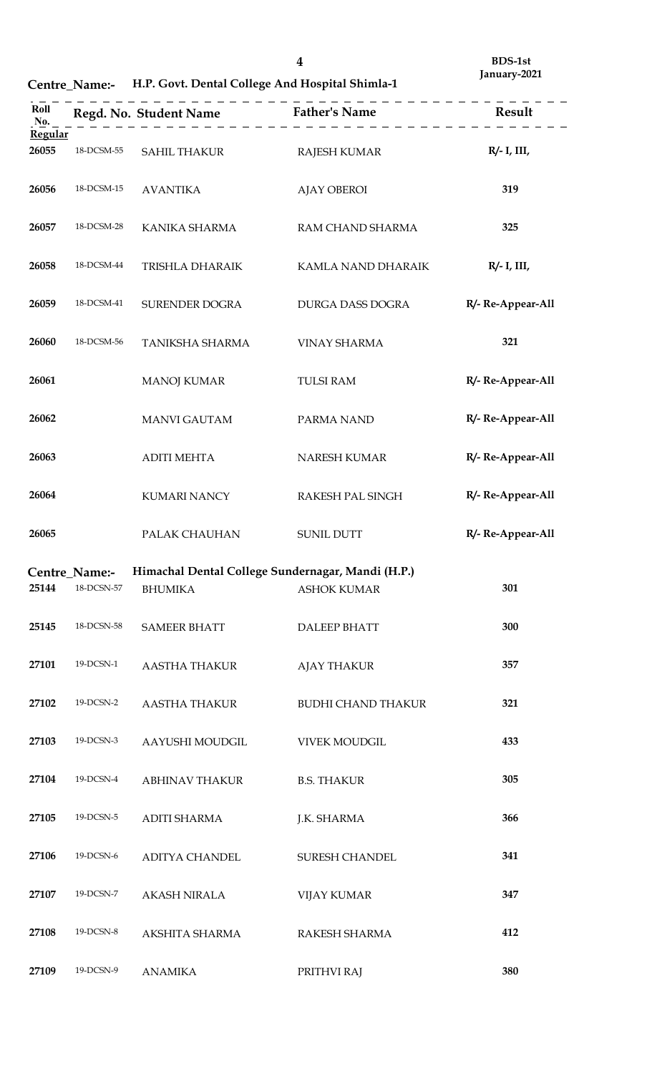**Centre\_Name:- H.P. Govt. Dental College And Hospital Shimla-1**

| Roll<br>No. |               |                                                                     | Regd. No. Student Name Father's Name Result<br>$\frac{1}{2}$ = $\frac{1}{2}$ = $\frac{1}{2}$ = $\frac{1}{2}$ = $\frac{1}{2}$ = $\frac{1}{2}$ |                   |
|-------------|---------------|---------------------------------------------------------------------|----------------------------------------------------------------------------------------------------------------------------------------------|-------------------|
| Regular     |               |                                                                     |                                                                                                                                              |                   |
| 26055       | 18-DCSM-55    | SAHIL THAKUR                                                        | RAJESH KUMAR                                                                                                                                 | $R/- I$ , III,    |
| 26056       | 18-DCSM-15    | <b>AVANTIKA</b>                                                     | <b>AJAY OBEROI</b>                                                                                                                           | 319               |
| 26057       | 18-DCSM-28    | KANIKA SHARMA                                                       | RAM CHAND SHARMA                                                                                                                             | 325               |
| 26058       | 18-DCSM-44    | TRISHLA DHARAIK                                                     | KAMLA NAND DHARAIK                                                                                                                           | $R/- I$ , III,    |
| 26059       | 18-DCSM-41    | SURENDER DOGRA                                                      | DURGA DASS DOGRA                                                                                                                             | R/- Re-Appear-All |
| 26060       | 18-DCSM-56    | TANIKSHA SHARMA                                                     | <b>VINAY SHARMA</b>                                                                                                                          | 321               |
| 26061       |               | <b>MANOJ KUMAR</b>                                                  | <b>TULSI RAM</b>                                                                                                                             | R/- Re-Appear-All |
| 26062       |               | <b>MANVI GAUTAM</b>                                                 | PARMA NAND                                                                                                                                   | R/- Re-Appear-All |
| 26063       |               | <b>ADITI MEHTA</b>                                                  | NARESH KUMAR                                                                                                                                 | R/- Re-Appear-All |
| 26064       |               | <b>KUMARI NANCY</b>                                                 | RAKESH PAL SINGH                                                                                                                             | R/- Re-Appear-All |
| 26065       |               | PALAK CHAUHAN                                                       | <b>SUNIL DUTT</b>                                                                                                                            | R/- Re-Appear-All |
|             | Centre Name:- |                                                                     |                                                                                                                                              |                   |
| 25144       | 18-DCSN-57    | Himachal Dental College Sundernagar, Mandi (H.P.)<br><b>BHUMIKA</b> | <b>ASHOK KUMAR</b>                                                                                                                           | 301               |
| 25145       | 18-DCSN-58    | <b>SAMEER BHATT</b>                                                 | <b>DALEEP BHATT</b>                                                                                                                          | 300               |
| 27101       | 19-DCSN-1     | AASTHA THAKUR                                                       | <b>AJAY THAKUR</b>                                                                                                                           | 357               |
| 27102       | 19-DCSN-2     | AASTHA THAKUR                                                       | <b>BUDHI CHAND THAKUR</b>                                                                                                                    | 321               |
| 27103       | 19-DCSN-3     | AAYUSHI MOUDGIL                                                     | <b>VIVEK MOUDGIL</b>                                                                                                                         | 433               |
| 27104       | 19-DCSN-4     | ABHINAV THAKUR                                                      | <b>B.S. THAKUR</b>                                                                                                                           | 305               |
| 27105       | 19-DCSN-5     | ADITI SHARMA                                                        | J.K. SHARMA                                                                                                                                  | 366               |
| 27106       | 19-DCSN-6     | ADITYA CHANDEL                                                      | <b>SURESH CHANDEL</b>                                                                                                                        | 341               |
| 27107       | 19-DCSN-7     | AKASH NIRALA                                                        | <b>VIJAY KUMAR</b>                                                                                                                           | 347               |
| 27108       | 19-DCSN-8     | AKSHITA SHARMA                                                      | RAKESH SHARMA                                                                                                                                | 412               |
| 27109       | 19-DCSN-9     | ANAMIKA                                                             | PRITHVI RAJ                                                                                                                                  | 380               |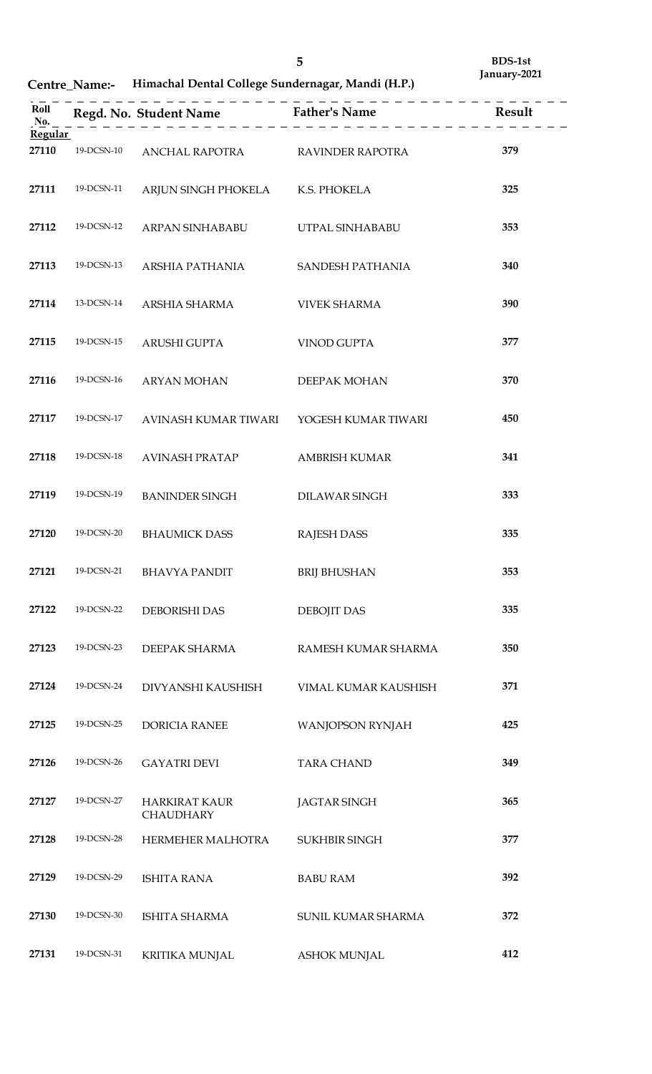**Centre\_Name:- Himachal Dental College Sundernagar, Mandi (H.P.)**

|                |            |                                          | Roll<br>Regd. No. Student Name<br>Name<br>$\underline{R}$ Father's Name<br>$\underline{R}$ Result<br>$\underline{R}$ Result |     |
|----------------|------------|------------------------------------------|-----------------------------------------------------------------------------------------------------------------------------|-----|
| <b>Regular</b> |            |                                          |                                                                                                                             |     |
| 27110          | 19-DCSN-10 |                                          |                                                                                                                             | 379 |
| 27111          | 19-DCSN-11 | ARJUN SINGH PHOKELA K.S. PHOKELA         |                                                                                                                             | 325 |
| 27112          | 19-DCSN-12 | ARPAN SINHABABU                          | UTPAL SINHABABU                                                                                                             | 353 |
| 27113          | 19-DCSN-13 | ARSHIA PATHANIA                          | SANDESH PATHANIA                                                                                                            | 340 |
| 27114          | 13-DCSN-14 | ARSHIA SHARMA                            | <b>VIVEK SHARMA</b>                                                                                                         | 390 |
| 27115          | 19-DCSN-15 | ARUSHI GUPTA                             | VINOD GUPTA                                                                                                                 | 377 |
| 27116          | 19-DCSN-16 | <b>ARYAN MOHAN</b>                       | DEEPAK MOHAN                                                                                                                | 370 |
| 27117          | 19-DCSN-17 | AVINASH KUMAR TIWARI                     | YOGESH KUMAR TIWARI                                                                                                         | 450 |
| 27118          | 19-DCSN-18 | <b>AVINASH PRATAP</b>                    | <b>AMBRISH KUMAR</b>                                                                                                        | 341 |
| 27119          | 19-DCSN-19 | <b>BANINDER SINGH</b>                    | DILAWAR SINGH                                                                                                               | 333 |
| 27120          | 19-DCSN-20 | <b>BHAUMICK DASS</b>                     | <b>RAJESH DASS</b>                                                                                                          | 335 |
| 27121          | 19-DCSN-21 | BHAVYA PANDIT                            | <b>BRIJ BHUSHAN</b>                                                                                                         | 353 |
| 27122          | 19-DCSN-22 | DEBORISHI DAS                            | <b>DEBOJIT DAS</b>                                                                                                          | 335 |
| 27123          | 19-DCSN-23 | DEEPAK SHARMA                            | RAMESH KUMAR SHARMA                                                                                                         | 350 |
| 27124          | 19-DCSN-24 | DIVYANSHI KAUSHISH                       | VIMAL KUMAR KAUSHISH                                                                                                        | 371 |
| 27125          | 19-DCSN-25 | <b>DORICIA RANEE</b>                     | <b>WANJOPSON RYNJAH</b>                                                                                                     | 425 |
| 27126          | 19-DCSN-26 | <b>GAYATRI DEVI</b>                      | <b>TARA CHAND</b>                                                                                                           | 349 |
| 27127          | 19-DCSN-27 | <b>HARKIRAT KAUR</b><br><b>CHAUDHARY</b> | <b>JAGTAR SINGH</b>                                                                                                         | 365 |
| 27128          | 19-DCSN-28 | HERMEHER MALHOTRA                        | <b>SUKHBIR SINGH</b>                                                                                                        | 377 |
| 27129          | 19-DCSN-29 | ISHITA RANA                              | <b>BABU RAM</b>                                                                                                             | 392 |
| 27130          | 19-DCSN-30 | ISHITA SHARMA                            | SUNIL KUMAR SHARMA                                                                                                          | 372 |
| 27131          | 19-DCSN-31 | <b>KRITIKA MUNJAL</b>                    | <b>ASHOK MUNJAL</b>                                                                                                         | 412 |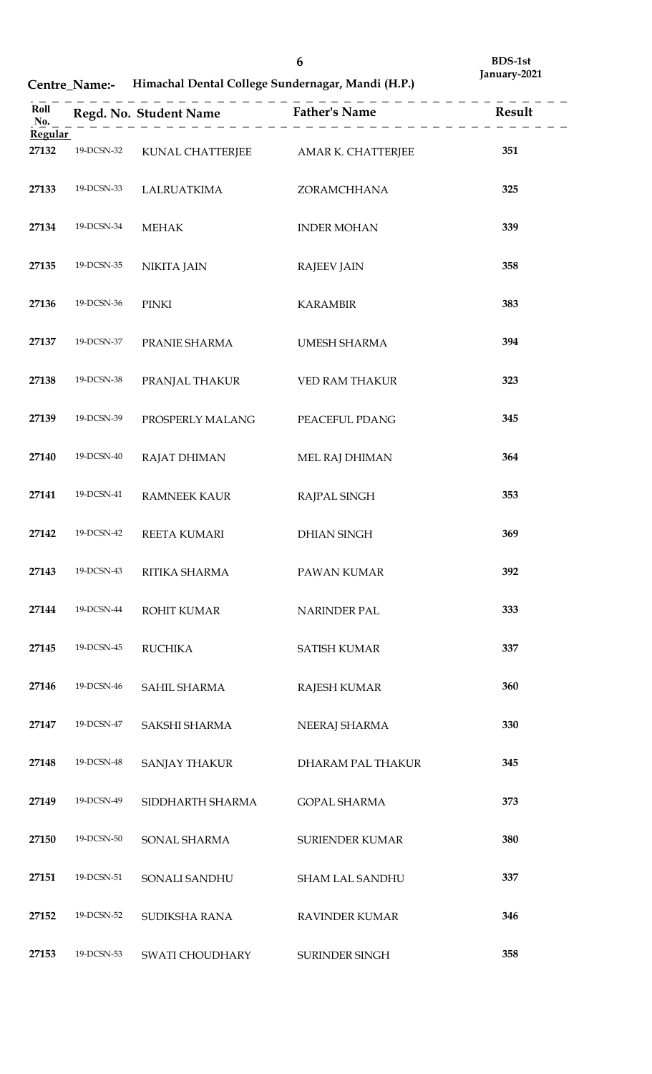**Centre\_Name:- Himachal Dental College Sundernagar, Mandi (H.P.)**

| Roll<br>No.    |            |                                     |                        |     |
|----------------|------------|-------------------------------------|------------------------|-----|
| <b>Regular</b> |            |                                     |                        |     |
| 27132          | 19-DCSN-32 | KUNAL CHATTERJEE AMAR K. CHATTERJEE |                        | 351 |
| 27133          | 19-DCSN-33 | LALRUATKIMA                         | ZORAMCHHANA            | 325 |
| 27134          | 19-DCSN-34 | <b>MEHAK</b>                        | <b>INDER MOHAN</b>     | 339 |
| 27135          | 19-DCSN-35 | <b>NIKITA JAIN</b>                  | <b>RAJEEV JAIN</b>     | 358 |
| 27136          | 19-DCSN-36 | PINKI                               | <b>KARAMBIR</b>        | 383 |
| 27137          | 19-DCSN-37 | PRANIE SHARMA                       | UMESH SHARMA           | 394 |
| 27138          | 19-DCSN-38 | PRANJAL THAKUR                      | VED RAM THAKUR         | 323 |
| 27139          | 19-DCSN-39 | PROSPERLY MALANG                    | PEACEFUL PDANG         | 345 |
| 27140          | 19-DCSN-40 | RAJAT DHIMAN                        | MEL RAJ DHIMAN         | 364 |
| 27141          | 19-DCSN-41 | RAMNEEK KAUR                        | RAJPAL SINGH           | 353 |
| 27142          | 19-DCSN-42 | REETA KUMARI                        | <b>DHIAN SINGH</b>     | 369 |
| 27143          | 19-DCSN-43 | RITIKA SHARMA                       | PAWAN KUMAR            | 392 |
| 27144          | 19-DCSN-44 | <b>ROHIT KUMAR</b>                  | <b>NARINDER PAL</b>    | 333 |
| 27145          | 19-DCSN-45 | <b>RUCHIKA</b>                      | <b>SATISH KUMAR</b>    | 337 |
| 27146          | 19-DCSN-46 | SAHIL SHARMA                        | RAJESH KUMAR           | 360 |
| 27147          | 19-DCSN-47 | SAKSHI SHARMA                       | NEERAJ SHARMA          | 330 |
| 27148          | 19-DCSN-48 | <b>SANJAY THAKUR</b>                | DHARAM PAL THAKUR      | 345 |
| 27149          | 19-DCSN-49 | SIDDHARTH SHARMA                    | <b>GOPAL SHARMA</b>    | 373 |
| 27150          | 19-DCSN-50 | SONAL SHARMA                        | <b>SURIENDER KUMAR</b> | 380 |
| 27151          | 19-DCSN-51 | SONALI SANDHU                       | <b>SHAM LAL SANDHU</b> | 337 |
| 27152          | 19-DCSN-52 | SUDIKSHA RANA                       | <b>RAVINDER KUMAR</b>  | 346 |
| 27153          | 19-DCSN-53 | SWATI CHOUDHARY                     | SURINDER SINGH         | 358 |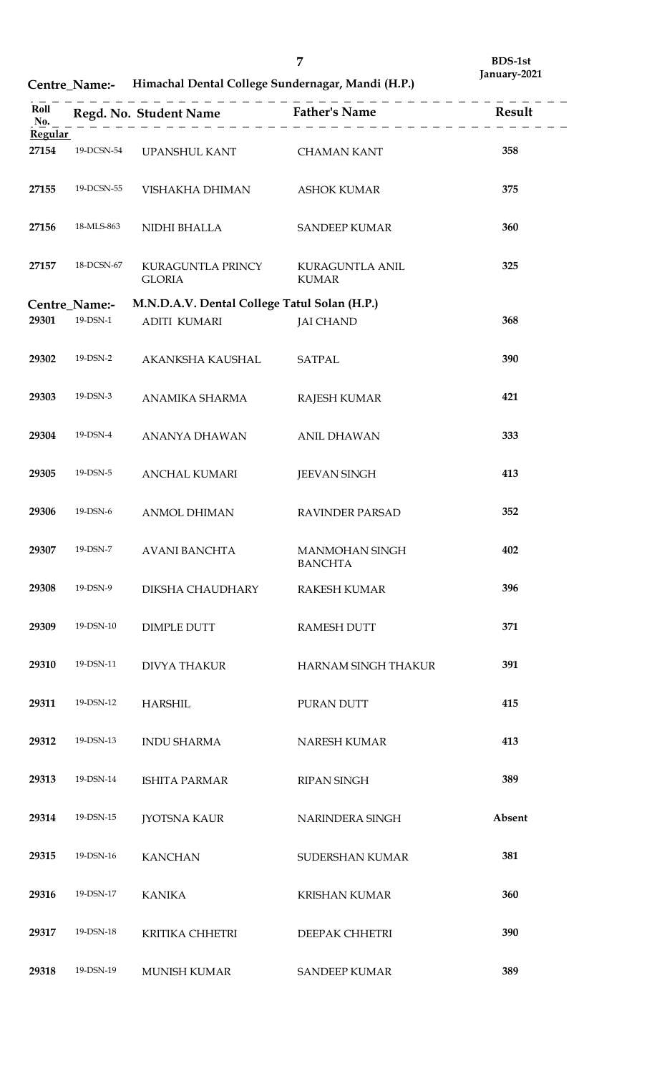**Centre\_Name:- Himachal Dental College Sundernagar, Mandi (H.P.)**

|                |                      |                                              | Roll<br>No. 2 = $\log d$ . No. Student Name<br>No. 2 = $\log d$ . $\log d$ = $\log d$ . Student Name<br>$\log d$ . $\log d$ |        |
|----------------|----------------------|----------------------------------------------|-----------------------------------------------------------------------------------------------------------------------------|--------|
| <b>Regular</b> |                      |                                              |                                                                                                                             |        |
| 27154          | 19-DCSN-54           | UPANSHUL KANT CHAMAN KANT                    |                                                                                                                             | 358    |
| 27155          | 19-DCSN-55           | VISHAKHA DHIMAN                              | <b>ASHOK KUMAR</b>                                                                                                          | 375    |
| 27156          | 18-MLS-863           | NIDHI BHALLA                                 | <b>SANDEEP KUMAR</b>                                                                                                        | 360    |
| 27157          | 18-DCSN-67           | KURAGUNTLA PRINCY<br><b>GLORIA</b>           | <b>KURAGUNTLA ANIL</b><br><b>KUMAR</b>                                                                                      | 325    |
|                | <b>Centre_Name:-</b> | M.N.D.A.V. Dental College Tatul Solan (H.P.) |                                                                                                                             |        |
|                |                      |                                              |                                                                                                                             |        |
| 29301          | 19-DSN-1             | <b>ADITI KUMARI</b>                          | <b>JAI CHAND</b>                                                                                                            | 368    |
| 29302          | 19-DSN-2             | AKANKSHA KAUSHAL                             | <b>SATPAL</b>                                                                                                               | 390    |
| 29303          | 19-DSN-3             | ANAMIKA SHARMA                               | <b>RAJESH KUMAR</b>                                                                                                         | 421    |
| 29304          | 19-DSN-4             | ANANYA DHAWAN                                | <b>ANIL DHAWAN</b>                                                                                                          | 333    |
| 29305          | 19-DSN-5             | ANCHAL KUMARI                                | <b>JEEVAN SINGH</b>                                                                                                         | 413    |
| 29306          | 19-DSN-6             | <b>ANMOL DHIMAN</b>                          | <b>RAVINDER PARSAD</b>                                                                                                      | 352    |
| 29307          | 19-DSN-7             | <b>AVANI BANCHTA</b>                         | <b>MANMOHAN SINGH</b><br><b>BANCHTA</b>                                                                                     | 402    |
| 29308          | 19-DSN-9             | DIKSHA CHAUDHARY                             | <b>RAKESH KUMAR</b>                                                                                                         | 396    |
| 29309          | 19-DSN-10            | <b>DIMPLE DUTT</b>                           | <b>RAMESH DUTT</b>                                                                                                          | 371    |
| 29310          | 19-DSN-11            | <b>DIVYA THAKUR</b>                          | <b>HARNAM SINGH THAKUR</b>                                                                                                  | 391    |
| 29311          | 19-DSN-12            | <b>HARSHIL</b>                               | PURAN DUTT                                                                                                                  | 415    |
| 29312          | 19-DSN-13            | <b>INDU SHARMA</b>                           | NARESH KUMAR                                                                                                                | 413    |
| 29313          | 19-DSN-14            | <b>ISHITA PARMAR</b>                         | <b>RIPAN SINGH</b>                                                                                                          | 389    |
| 29314          | 19-DSN-15            | <b>JYOTSNA KAUR</b>                          | NARINDERA SINGH                                                                                                             | Absent |
| 29315          | 19-DSN-16            | <b>KANCHAN</b>                               | SUDERSHAN KUMAR                                                                                                             | 381    |
| 29316          | 19-DSN-17            | <b>KANIKA</b>                                | <b>KRISHAN KUMAR</b>                                                                                                        | 360    |
| 29317          | 19-DSN-18            | <b>KRITIKA CHHETRI</b>                       | DEEPAK CHHETRI                                                                                                              | 390    |
| 29318          | 19-DSN-19            | <b>MUNISH KUMAR</b>                          | <b>SANDEEP KUMAR</b>                                                                                                        | 389    |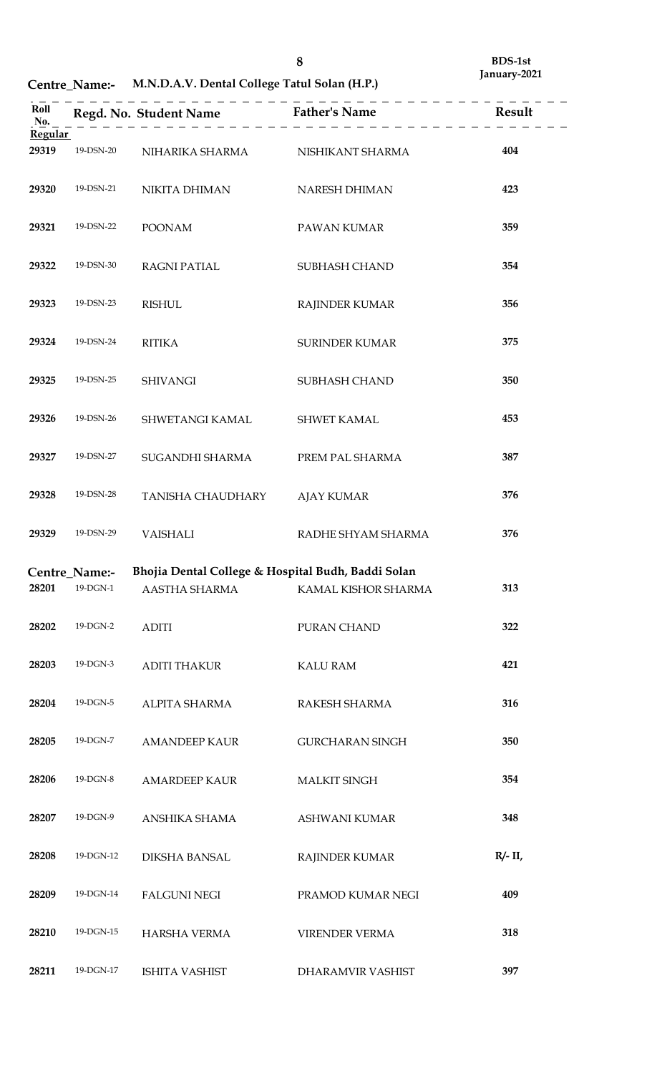**Centre\_Name:- M.N.D.A.V. Dental College Tatul Solan (H.P.)**

| Roll<br>No.<br><b>Regular</b> |                                 |                                                    | Regd. No. Student Name<br>$\begin{array}{c} \text{Father's Name} \\ \text{Father's Name} \end{array}$ |            |
|-------------------------------|---------------------------------|----------------------------------------------------|-------------------------------------------------------------------------------------------------------|------------|
| 29319                         | 19-DSN-20                       | NIHARIKA SHARMA NISHIKANT SHARMA                   |                                                                                                       | 404        |
| 29320                         | 19-DSN-21                       | NIKITA DHIMAN                                      | NARESH DHIMAN                                                                                         | 423        |
| 29321                         | 19-DSN-22                       | <b>POONAM</b>                                      | PAWAN KUMAR                                                                                           | 359        |
| 29322                         | 19-DSN-30                       | <b>RAGNI PATIAL</b>                                | SUBHASH CHAND                                                                                         | 354        |
| 29323                         | 19-DSN-23                       | <b>RISHUL</b>                                      | <b>RAJINDER KUMAR</b>                                                                                 | 356        |
| 29324                         | 19-DSN-24                       | <b>RITIKA</b>                                      | <b>SURINDER KUMAR</b>                                                                                 | 375        |
| 29325                         | 19-DSN-25                       | <b>SHIVANGI</b>                                    | <b>SUBHASH CHAND</b>                                                                                  | 350        |
| 29326                         | 19-DSN-26                       | SHWETANGI KAMAL                                    | SHWET KAMAL                                                                                           | 453        |
| 29327                         | 19-DSN-27                       | SUGANDHI SHARMA                                    | PREM PAL SHARMA                                                                                       | 387        |
| 29328                         | 19-DSN-28                       | TANISHA CHAUDHARY                                  | <b>AJAY KUMAR</b>                                                                                     | 376        |
| 29329                         | 19-DSN-29                       | <b>VAISHALI</b>                                    | RADHE SHYAM SHARMA                                                                                    | 376        |
|                               | Centre_Name:-<br>28201 19-DGN-1 | Bhojia Dental College & Hospital Budh, Baddi Solan |                                                                                                       | 313        |
| 28202                         | 19-DGN-2                        | <b>ADITI</b>                                       | PURAN CHAND                                                                                           | 322        |
| 28203                         | 19-DGN-3                        | ADITI THAKUR                                       | <b>KALU RAM</b>                                                                                       | 421        |
| 28204                         | 19-DGN-5                        | ALPITA SHARMA                                      | RAKESH SHARMA                                                                                         | 316        |
| 28205                         | 19-DGN-7                        | AMANDEEP KAUR                                      | <b>GURCHARAN SINGH</b>                                                                                | 350        |
| 28206                         | 19-DGN-8                        | AMARDEEP KAUR                                      | <b>MALKIT SINGH</b>                                                                                   | 354        |
| 28207                         | 19-DGN-9                        | ANSHIKA SHAMA                                      | ASHWANI KUMAR                                                                                         | 348        |
| 28208                         | 19-DGN-12                       | DIKSHA BANSAL                                      | RAJINDER KUMAR                                                                                        | $R/- II$ , |
| 28209                         | 19-DGN-14                       | <b>FALGUNI NEGI</b>                                | PRAMOD KUMAR NEGI                                                                                     | 409        |
| 28210                         | 19-DGN-15                       | HARSHA VERMA                                       | <b>VIRENDER VERMA</b>                                                                                 | 318        |
| 28211                         | 19-DGN-17                       | ISHITA VASHIST                                     | DHARAMVIR VASHIST                                                                                     | 397        |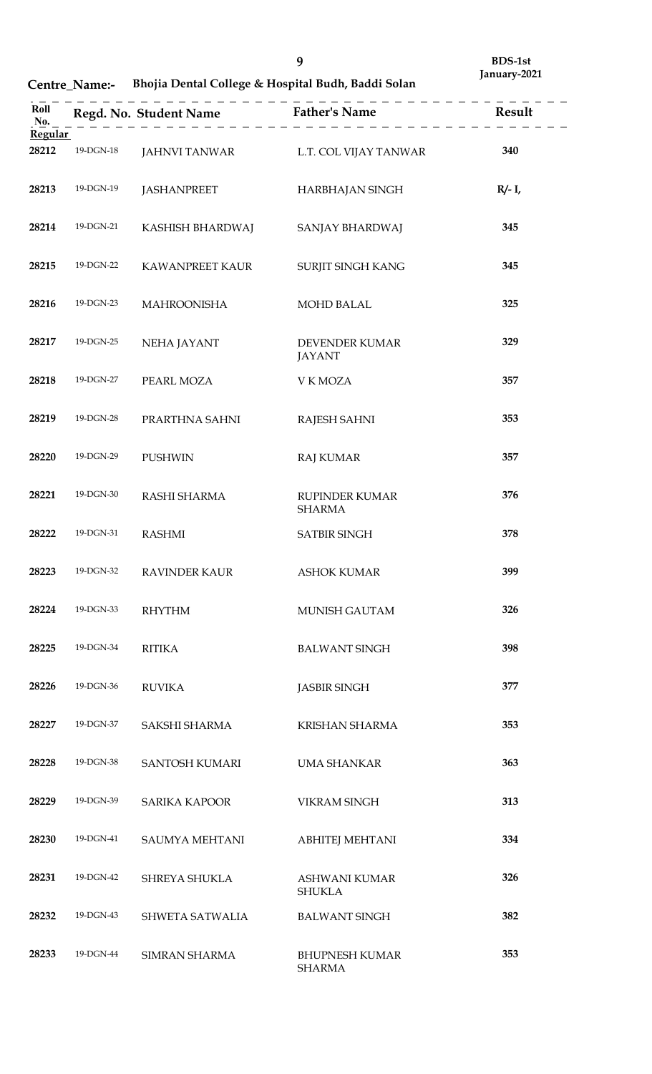**Centre\_Name:- Bhojia Dental College & Hospital Budh, Baddi Solan**

| Roll<br>No.<br><b>Regular</b> |           |                                     | $\frac{1}{2}$                          |           |
|-------------------------------|-----------|-------------------------------------|----------------------------------------|-----------|
| 28212                         | 19-DGN-18 | JAHNVI TANWAR L.T. COL VIJAY TANWAR |                                        | 340       |
| 28213                         | 19-DGN-19 | JASHANPREET                         | HARBHAJAN SINGH                        | $R/- I$ , |
| 28214                         | 19-DGN-21 | KASHISH BHARDWAJ                    | SANJAY BHARDWAJ                        | 345       |
| 28215                         | 19-DGN-22 | KAWANPREET KAUR                     | SURJIT SINGH KANG                      | 345       |
| 28216                         | 19-DGN-23 | <b>MAHROONISHA</b>                  | <b>MOHD BALAL</b>                      | 325       |
| 28217                         | 19-DGN-25 | NEHA JAYANT                         | <b>DEVENDER KUMAR</b><br><b>JAYANT</b> | 329       |
| 28218                         | 19-DGN-27 | PEARL MOZA                          | V K MOZA                               | 357       |
| 28219                         | 19-DGN-28 | PRARTHNA SAHNI                      | <b>RAJESH SAHNI</b>                    | 353       |
| 28220                         | 19-DGN-29 | <b>PUSHWIN</b>                      | <b>RAJ KUMAR</b>                       | 357       |
| 28221                         | 19-DGN-30 | RASHI SHARMA                        | <b>RUPINDER KUMAR</b><br><b>SHARMA</b> | 376       |
| 28222                         | 19-DGN-31 | <b>RASHMI</b>                       | <b>SATBIR SINGH</b>                    | 378       |
| 28223                         | 19-DGN-32 | <b>RAVINDER KAUR</b>                | <b>ASHOK KUMAR</b>                     | 399       |
| 28224                         | 19-DGN-33 | <b>RHYTHM</b>                       | <b>MUNISH GAUTAM</b>                   | 326       |
| 28225                         | 19-DGN-34 | <b>RITIKA</b>                       | <b>BALWANT SINGH</b>                   | 398       |
| 28226                         | 19-DGN-36 | <b>RUVIKA</b>                       | <b>JASBIR SINGH</b>                    | 377       |
| 28227                         | 19-DGN-37 | SAKSHI SHARMA                       | <b>KRISHAN SHARMA</b>                  | 353       |
| 28228                         | 19-DGN-38 | <b>SANTOSH KUMARI</b>               | UMA SHANKAR                            | 363       |
| 28229                         | 19-DGN-39 | <b>SARIKA KAPOOR</b>                | <b>VIKRAM SINGH</b>                    | 313       |
| 28230                         | 19-DGN-41 | <b>SAUMYA MEHTANI</b>               | <b>ABHITEJ MEHTANI</b>                 | 334       |
| 28231                         | 19-DGN-42 | <b>SHREYA SHUKLA</b>                | <b>ASHWANI KUMAR</b><br><b>SHUKLA</b>  | 326       |
| 28232                         | 19-DGN-43 | <b>SHWETA SATWALIA</b>              | <b>BALWANT SINGH</b>                   | 382       |
| 28233                         | 19-DGN-44 | <b>SIMRAN SHARMA</b>                | <b>BHUPNESH KUMAR</b><br><b>SHARMA</b> | 353       |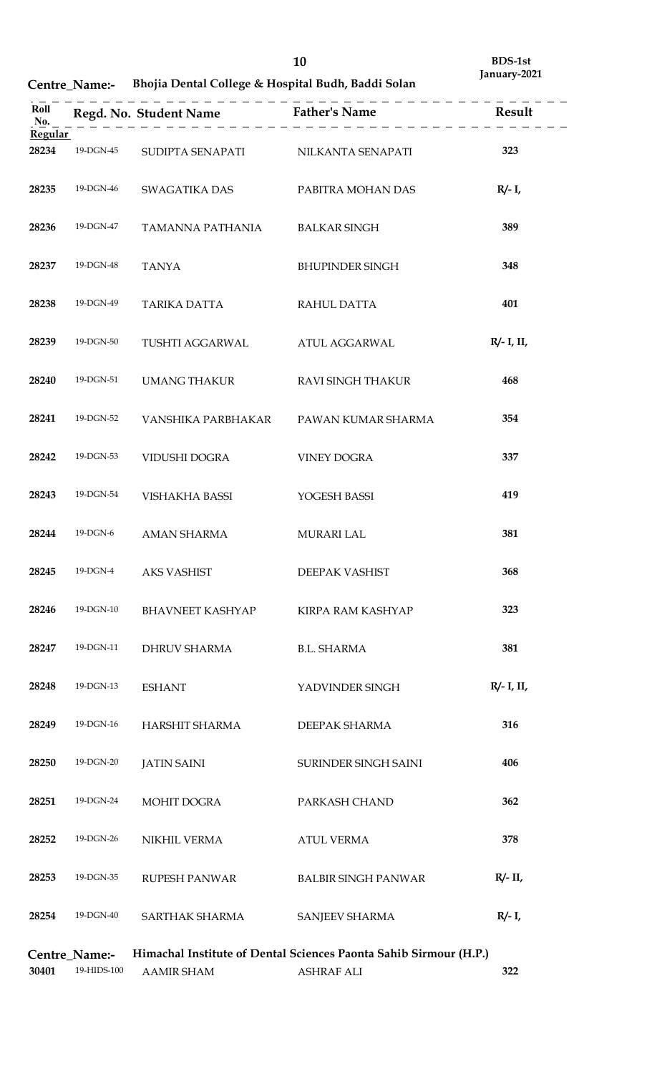# **Centre\_Name:- Bhojia Dental College & Hospital Budh, Baddi Solan**

| Regular |                              |                                    | Roll<br>Regd. No. Student Name<br>$\underline{R}_{0}$ . $\underline{R}_{0}$ . $\underline{R}_{1}$ = $\underline{R}_{1}$ = $\underline{R}_{2}$ = $\underline{R}_{2}$ = $\underline{R}_{1}$ = $\underline{R}_{2}$ = $\underline{R}_{3}$ = $\underline{R}_{4}$ = $\underline{R}_{5}$ = $\underline{R}_{6}$ = $\underline{R}_{7}$ = $\underline{R}_{8}$ = $\underline{R}_{8}$ |               |
|---------|------------------------------|------------------------------------|---------------------------------------------------------------------------------------------------------------------------------------------------------------------------------------------------------------------------------------------------------------------------------------------------------------------------------------------------------------------------|---------------|
| 28234   | 19-DGN-45                    | SUDIPTA SENAPATI NILKANTA SENAPATI |                                                                                                                                                                                                                                                                                                                                                                           | 323           |
| 28235   | 19-DGN-46                    | SWAGATIKA DAS                      | PABITRA MOHAN DAS                                                                                                                                                                                                                                                                                                                                                         | $R/- I$ ,     |
| 28236   | 19-DGN-47                    | TAMANNA PATHANIA                   | <b>BALKAR SINGH</b>                                                                                                                                                                                                                                                                                                                                                       | 389           |
| 28237   | 19-DGN-48                    | <b>TANYA</b>                       | <b>BHUPINDER SINGH</b>                                                                                                                                                                                                                                                                                                                                                    | 348           |
| 28238   | 19-DGN-49                    | TARIKA DATTA                       | RAHUL DATTA                                                                                                                                                                                                                                                                                                                                                               | 401           |
| 28239   | 19-DGN-50                    | TUSHTI AGGARWAL                    | ATUL AGGARWAL                                                                                                                                                                                                                                                                                                                                                             | $R/- I$ , II, |
| 28240   | 19-DGN-51                    | UMANG THAKUR                       | <b>RAVI SINGH THAKUR</b>                                                                                                                                                                                                                                                                                                                                                  | 468           |
| 28241   | 19-DGN-52                    | VANSHIKA PARBHAKAR                 | PAWAN KUMAR SHARMA                                                                                                                                                                                                                                                                                                                                                        | 354           |
| 28242   | 19-DGN-53                    | VIDUSHI DOGRA                      | <b>VINEY DOGRA</b>                                                                                                                                                                                                                                                                                                                                                        | 337           |
| 28243   | 19-DGN-54                    | VISHAKHA BASSI                     | YOGESH BASSI                                                                                                                                                                                                                                                                                                                                                              | 419           |
| 28244   | 19-DGN-6                     | AMAN SHARMA                        | <b>MURARI LAL</b>                                                                                                                                                                                                                                                                                                                                                         | 381           |
| 28245   | 19-DGN-4                     | AKS VASHIST                        | DEEPAK VASHIST                                                                                                                                                                                                                                                                                                                                                            | 368           |
| 28246   | 19-DGN-10                    | <b>BHAVNEET KASHYAP</b>            | KIRPA RAM KASHYAP                                                                                                                                                                                                                                                                                                                                                         | 323           |
| 28247   | 19-DGN-11                    | DHRUV SHARMA                       | <b>B.L. SHARMA</b>                                                                                                                                                                                                                                                                                                                                                        | 381           |
| 28248   | 19-DGN-13                    | <b>ESHANT</b>                      | YADVINDER SINGH                                                                                                                                                                                                                                                                                                                                                           | $R/- I$ , II, |
| 28249   | 19-DGN-16                    | HARSHIT SHARMA                     | DEEPAK SHARMA                                                                                                                                                                                                                                                                                                                                                             | 316           |
| 28250   | 19-DGN-20                    | <b>JATIN SAINI</b>                 | SURINDER SINGH SAINI                                                                                                                                                                                                                                                                                                                                                      | 406           |
| 28251   | 19-DGN-24                    | MOHIT DOGRA                        | PARKASH CHAND                                                                                                                                                                                                                                                                                                                                                             | 362           |
| 28252   | 19-DGN-26                    | NIKHIL VERMA                       | <b>ATUL VERMA</b>                                                                                                                                                                                                                                                                                                                                                         | 378           |
| 28253   | 19-DGN-35                    | RUPESH PANWAR                      | <b>BALBIR SINGH PANWAR</b>                                                                                                                                                                                                                                                                                                                                                | $R/- II$      |
| 28254   | 19-DGN-40                    | SARTHAK SHARMA                     | SANJEEV SHARMA                                                                                                                                                                                                                                                                                                                                                            | $R/- I$ ,     |
| 30401   | Centre_Name:-<br>19-HIDS-100 | <b>AAMIR SHAM</b>                  | Himachal Institute of Dental Sciences Paonta Sahib Sirmour (H.P.)<br><b>ASHRAF ALI</b>                                                                                                                                                                                                                                                                                    | 322           |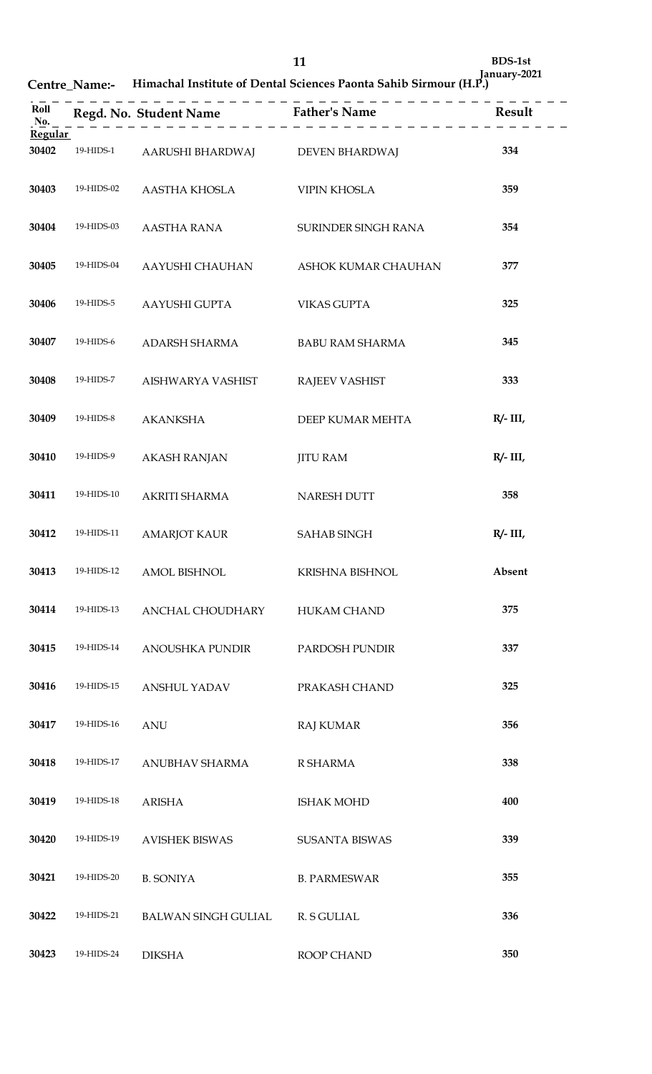| Roll<br>No.    |            |                                 | Regd. No. Student Name<br>$r = 1$<br>$r = 1$<br>$r = 2$<br>$r = 3$<br>$r = 3$<br>$r = 4$<br>$r = 5$<br>$r = 5$<br>$r = 5$<br>$r = 1$<br>$r = 1$<br>$r = 2$<br>$r = 1$ |             |
|----------------|------------|---------------------------------|-----------------------------------------------------------------------------------------------------------------------------------------------------------------------|-------------|
| <b>Regular</b> |            |                                 |                                                                                                                                                                       |             |
| 30402          | 19-HIDS-1  | AARUSHI BHARDWAJ DEVEN BHARDWAJ |                                                                                                                                                                       | 334         |
| 30403          | 19-HIDS-02 | AASTHA KHOSLA                   | <b>VIPIN KHOSLA</b>                                                                                                                                                   | 359         |
| 30404          | 19-HIDS-03 | <b>AASTHA RANA</b>              | SURINDER SINGH RANA                                                                                                                                                   | 354         |
| 30405          | 19-HIDS-04 | AAYUSHI CHAUHAN                 | ASHOK KUMAR CHAUHAN                                                                                                                                                   | 377         |
| 30406          | 19-HIDS-5  | AAYUSHI GUPTA                   | <b>VIKAS GUPTA</b>                                                                                                                                                    | 325         |
| 30407          | 19-HIDS-6  | ADARSH SHARMA                   | <b>BABU RAM SHARMA</b>                                                                                                                                                | 345         |
| 30408          | 19-HIDS-7  | AISHWARYA VASHIST               | <b>RAJEEV VASHIST</b>                                                                                                                                                 | 333         |
| 30409          | 19-HIDS-8  | <b>AKANKSHA</b>                 | DEEP KUMAR MEHTA                                                                                                                                                      | $R/- III$   |
| 30410          | 19-HIDS-9  | <b>AKASH RANJAN</b>             | <b>JITU RAM</b>                                                                                                                                                       | $R/- III$ , |
| 30411          | 19-HIDS-10 | AKRITI SHARMA                   | NARESH DUTT                                                                                                                                                           | 358         |
| 30412          | 19-HIDS-11 | <b>AMARJOT KAUR</b>             | <b>SAHAB SINGH</b>                                                                                                                                                    | $R/- III$ , |
| 30413          | 19-HIDS-12 | <b>AMOL BISHNOL</b>             | KRISHNA BISHNOL                                                                                                                                                       | Absent      |
| 30414          | 19-HIDS-13 | ANCHAL CHOUDHARY                | HUKAM CHAND                                                                                                                                                           | 375         |
| 30415          | 19-HIDS-14 | ANOUSHKA PUNDIR                 | PARDOSH PUNDIR                                                                                                                                                        | 337         |
| 30416          | 19-HIDS-15 | ANSHUL YADAV                    | PRAKASH CHAND                                                                                                                                                         | 325         |
| 30417          | 19-HIDS-16 | <b>ANU</b>                      | <b>RAJ KUMAR</b>                                                                                                                                                      | 356         |
| 30418          | 19-HIDS-17 | ANUBHAV SHARMA                  | R SHARMA                                                                                                                                                              | 338         |
| 30419          | 19-HIDS-18 | <b>ARISHA</b>                   | <b>ISHAK MOHD</b>                                                                                                                                                     | 400         |
| 30420          | 19-HIDS-19 | <b>AVISHEK BISWAS</b>           | <b>SUSANTA BISWAS</b>                                                                                                                                                 | 339         |
| 30421          | 19-HIDS-20 | <b>B. SONIYA</b>                | <b>B. PARMESWAR</b>                                                                                                                                                   | 355         |
| 30422          | 19-HIDS-21 | BALWAN SINGH GULIAL R. S GULIAL |                                                                                                                                                                       | 336         |
| 30423          | 19-HIDS-24 | <b>DIKSHA</b>                   | ROOP CHAND                                                                                                                                                            | 350         |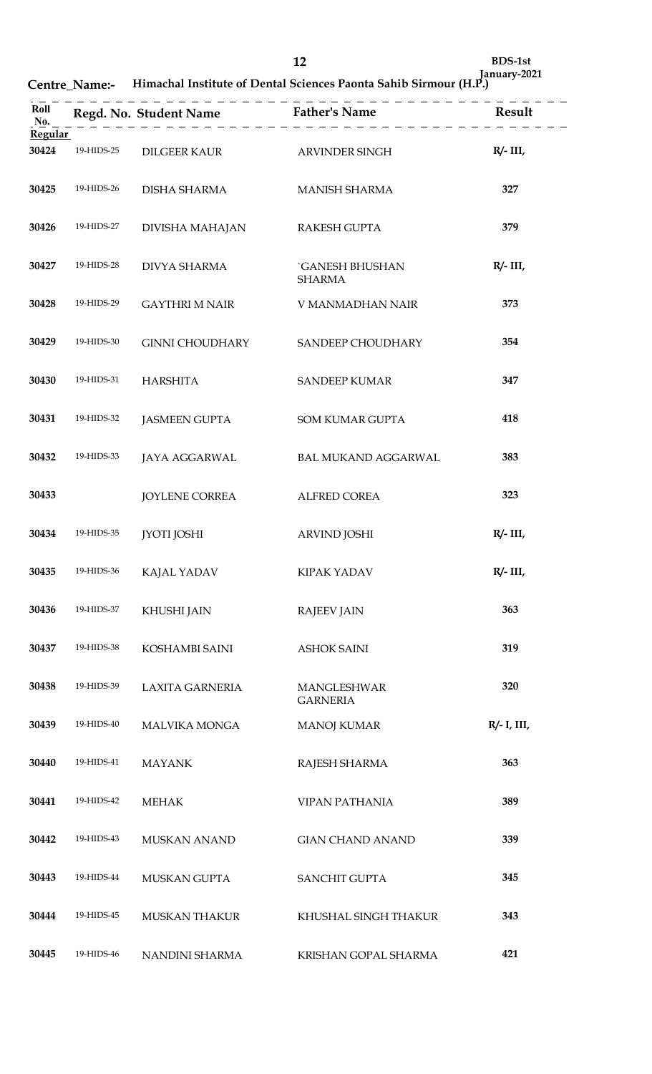| Roll<br>No. |            |                        | Regd. No. Student Name<br>$\begin{array}{c} \text{Rend.}$ Result<br>$\begin{array}{c} \text{Rend.}$ |                |
|-------------|------------|------------------------|-----------------------------------------------------------------------------------------------------|----------------|
| Regular     |            |                        |                                                                                                     |                |
| 30424       | 19-HIDS-25 | DILGEER KAUR           | ARVINDER SINGH                                                                                      | $R/- III$ ,    |
| 30425       | 19-HIDS-26 | <b>DISHA SHARMA</b>    | <b>MANISH SHARMA</b>                                                                                | 327            |
| 30426       | 19-HIDS-27 | DIVISHA MAHAJAN        | RAKESH GUPTA                                                                                        | 379            |
| 30427       | 19-HIDS-28 | <b>DIVYA SHARMA</b>    | <b>GANESH BHUSHAN</b><br><b>SHARMA</b>                                                              | $R/- III$ ,    |
| 30428       | 19-HIDS-29 | <b>GAYTHRI M NAIR</b>  | V MANMADHAN NAIR                                                                                    | 373            |
| 30429       | 19-HIDS-30 | <b>GINNI CHOUDHARY</b> | SANDEEP CHOUDHARY                                                                                   | 354            |
| 30430       | 19-HIDS-31 | <b>HARSHITA</b>        | <b>SANDEEP KUMAR</b>                                                                                | 347            |
| 30431       | 19-HIDS-32 | <b>JASMEEN GUPTA</b>   | SOM KUMAR GUPTA                                                                                     | 418            |
| 30432       | 19-HIDS-33 | <b>JAYA AGGARWAL</b>   | <b>BAL MUKAND AGGARWAL</b>                                                                          | 383            |
| 30433       |            | <b>JOYLENE CORREA</b>  | <b>ALFRED COREA</b>                                                                                 | 323            |
| 30434       | 19-HIDS-35 | <b>IYOTI JOSHI</b>     | <b>ARVIND JOSHI</b>                                                                                 | $R/- III$ ,    |
| 30435       | 19-HIDS-36 | KAJAL YADAV            | KIPAK YADAV                                                                                         | $R/- III$ ,    |
| 30436       | 19-HIDS-37 | KHUSHI JAIN            | <b>RAJEEV JAIN</b>                                                                                  | 363            |
| 30437       | 19-HIDS-38 | KOSHAMBI SAINI         | <b>ASHOK SAINI</b>                                                                                  | 319            |
| 30438       | 19-HIDS-39 | <b>LAXITA GARNERIA</b> | MANGLESHWAR<br><b>GARNERIA</b>                                                                      | 320            |
| 30439       | 19-HIDS-40 | <b>MALVIKA MONGA</b>   | <b>MANOJ KUMAR</b>                                                                                  | $R/- I$ , III, |
| 30440       | 19-HIDS-41 | <b>MAYANK</b>          | RAJESH SHARMA                                                                                       | 363            |
| 30441       | 19-HIDS-42 | <b>MEHAK</b>           | <b>VIPAN PATHANIA</b>                                                                               | 389            |
| 30442       | 19-HIDS-43 | <b>MUSKAN ANAND</b>    | <b>GIAN CHAND ANAND</b>                                                                             | 339            |
| 30443       | 19-HIDS-44 | MUSKAN GUPTA           | <b>SANCHIT GUPTA</b>                                                                                | 345            |
| 30444       | 19-HIDS-45 | <b>MUSKAN THAKUR</b>   | KHUSHAL SINGH THAKUR                                                                                | 343            |
| 30445       | 19-HIDS-46 | NANDINI SHARMA         | KRISHAN GOPAL SHARMA                                                                                | 421            |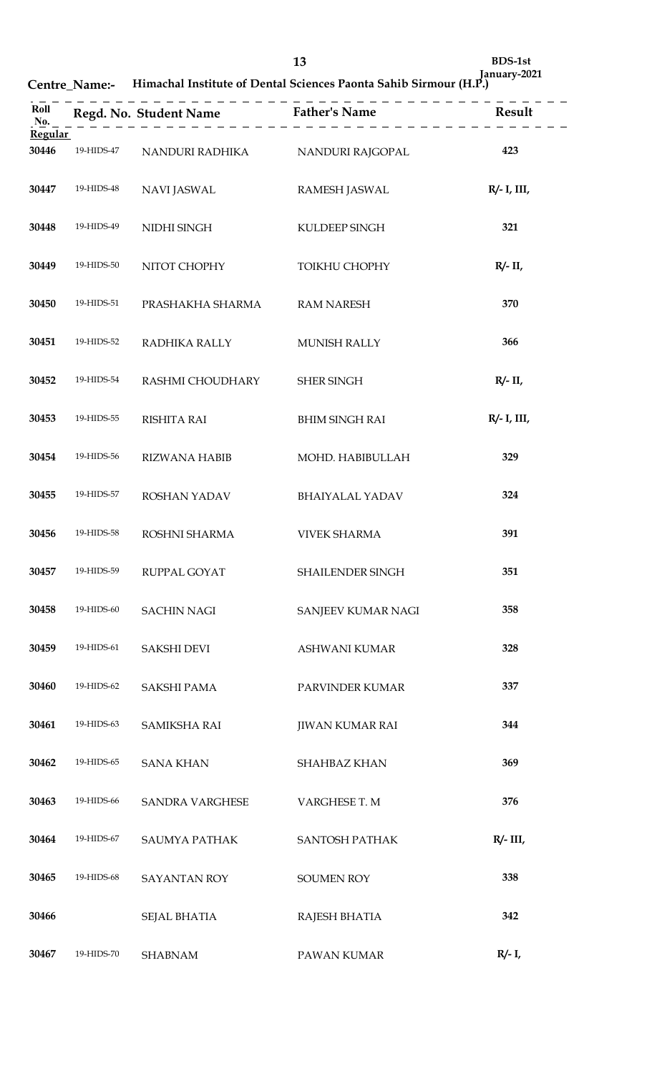| Himachal Institute of Dental Sciences Paonta Sahib Sirmour (H.P.)<br>Centre Name:- |  |
|------------------------------------------------------------------------------------|--|
|------------------------------------------------------------------------------------|--|

| Roll<br>No.             |            |                      | Regd. No. Student Name Father's Name Result |                |
|-------------------------|------------|----------------------|---------------------------------------------|----------------|
| <b>Regular</b><br>30446 | 19-HIDS-47 | NANDURI RADHIKA      | NANDURI RAJGOPAL                            | 423            |
| 30447                   | 19-HIDS-48 | <b>NAVI JASWAL</b>   | <b>RAMESH JASWAL</b>                        | $R/- I$ , III, |
| 30448                   | 19-HIDS-49 | NIDHI SINGH          | KULDEEP SINGH                               | 321            |
| 30449                   | 19-HIDS-50 | NITOT CHOPHY         | TOIKHU CHOPHY                               | $R/- II$ ,     |
| 30450                   | 19-HIDS-51 | PRASHAKHA SHARMA     | <b>RAM NARESH</b>                           | 370            |
| 30451                   | 19-HIDS-52 | RADHIKA RALLY        | MUNISH RALLY                                | 366            |
| 30452                   | 19-HIDS-54 | RASHMI CHOUDHARY     | <b>SHER SINGH</b>                           | $R/- II$       |
| 30453                   | 19-HIDS-55 | <b>RISHITA RAI</b>   | <b>BHIM SINGH RAI</b>                       | $R/- I$ , III, |
| 30454                   | 19-HIDS-56 | <b>RIZWANA HABIB</b> | MOHD. HABIBULLAH                            | 329            |
| 30455                   | 19-HIDS-57 | ROSHAN YADAV         | <b>BHAIYALAL YADAV</b>                      | 324            |
| 30456                   | 19-HIDS-58 | ROSHNI SHARMA        | <b>VIVEK SHARMA</b>                         | 391            |
| 30457                   | 19-HIDS-59 | RUPPAL GOYAT         | SHAILENDER SINGH                            | 351            |
| 30458                   | 19-HIDS-60 | <b>SACHIN NAGI</b>   | SANJEEV KUMAR NAGI                          | 358            |
| 30459                   | 19-HIDS-61 | <b>SAKSHI DEVI</b>   | ASHWANI KUMAR                               | 328            |
| 30460                   | 19-HIDS-62 | <b>SAKSHI PAMA</b>   | PARVINDER KUMAR                             | 337            |
| 30461                   | 19-HIDS-63 | <b>SAMIKSHA RAI</b>  | <b>JIWAN KUMAR RAI</b>                      | 344            |
| 30462                   | 19-HIDS-65 | <b>SANA KHAN</b>     | SHAHBAZ KHAN                                | 369            |
| 30463                   | 19-HIDS-66 | SANDRA VARGHESE      | VARGHESE T. M                               | 376            |
| 30464                   | 19-HIDS-67 | SAUMYA PATHAK        | SANTOSH PATHAK                              | $R/- III$ ,    |
| 30465                   | 19-HIDS-68 | <b>SAYANTAN ROY</b>  | <b>SOUMEN ROY</b>                           | 338            |
| 30466                   |            | <b>SEJAL BHATIA</b>  | RAJESH BHATIA                               | 342            |
| 30467                   | 19-HIDS-70 | <b>SHABNAM</b>       | PAWAN KUMAR                                 | $R/- I$ ,      |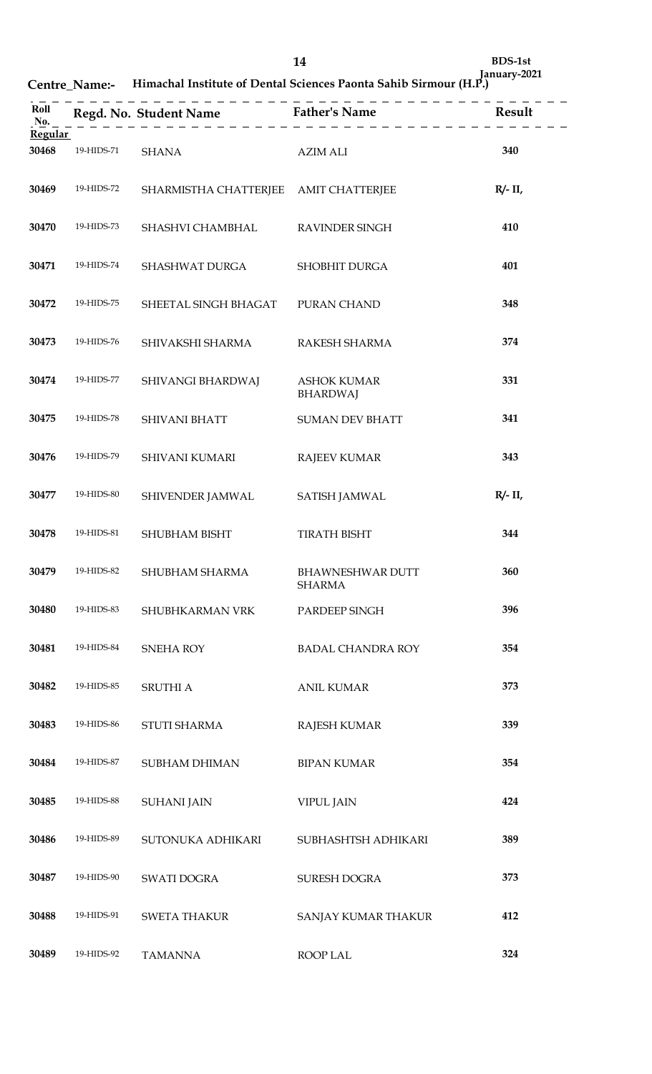| Roll<br>No.    |            |                                       | Regd. No. Student Name Father's Name Result |            |
|----------------|------------|---------------------------------------|---------------------------------------------|------------|
| <b>Regular</b> |            |                                       |                                             |            |
| 30468          | 19-HIDS-71 | <b>SHANA</b>                          | <b>AZIM ALI</b>                             | 340        |
| 30469          | 19-HIDS-72 | SHARMISTHA CHATTERJEE AMIT CHATTERJEE |                                             | $R/- II$ , |
| 30470          | 19-HIDS-73 | SHASHVI CHAMBHAL                      | <b>RAVINDER SINGH</b>                       | 410        |
| 30471          | 19-HIDS-74 | SHASHWAT DURGA                        | SHOBHIT DURGA                               | 401        |
| 30472          | 19-HIDS-75 | SHEETAL SINGH BHAGAT                  | PURAN CHAND                                 | 348        |
| 30473          | 19-HIDS-76 | SHIVAKSHI SHARMA                      | RAKESH SHARMA                               | 374        |
| 30474          | 19-HIDS-77 | SHIVANGI BHARDWAJ                     | <b>ASHOK KUMAR</b><br><b>BHARDWAJ</b>       | 331        |
| 30475          | 19-HIDS-78 | SHIVANI BHATT                         | <b>SUMAN DEV BHATT</b>                      | 341        |
| 30476          | 19-HIDS-79 | SHIVANI KUMARI                        | <b>RAJEEV KUMAR</b>                         | 343        |
| 30477          | 19-HIDS-80 | SHIVENDER JAMWAL                      | <b>SATISH JAMWAL</b>                        | $R/- II$ , |
| 30478          | 19-HIDS-81 | SHUBHAM BISHT                         | <b>TIRATH BISHT</b>                         | 344        |
| 30479          | 19-HIDS-82 | SHUBHAM SHARMA                        | <b>BHAWNESHWAR DUTT</b><br><b>SHARMA</b>    | 360        |
| 30480          | 19-HIDS-83 | SHUBHKARMAN VRK                       | PARDEEP SINGH                               | 396        |
| 30481          | 19-HIDS-84 | SNEHA ROY                             | <b>BADAL CHANDRA ROY</b>                    | 354        |
| 30482          | 19-HIDS-85 | SRUTHI A                              | <b>ANIL KUMAR</b>                           | 373        |
| 30483          | 19-HIDS-86 | STUTI SHARMA                          | <b>RAJESH KUMAR</b>                         | 339        |
| 30484          | 19-HIDS-87 | SUBHAM DHIMAN                         | <b>BIPAN KUMAR</b>                          | 354        |
| 30485          | 19-HIDS-88 | <b>SUHANI JAIN</b>                    | <b>VIPUL JAIN</b>                           | 424        |
| 30486          | 19-HIDS-89 | SUTONUKA ADHIKARI                     | SUBHASHTSH ADHIKARI                         | 389        |
| 30487          | 19-HIDS-90 | SWATI DOGRA                           | SURESH DOGRA                                | 373        |
| 30488          | 19-HIDS-91 | <b>SWETA THAKUR</b>                   | SANJAY KUMAR THAKUR                         | 412        |
| 30489          | 19-HIDS-92 | <b>TAMANNA</b>                        | ROOP LAL                                    | 324        |